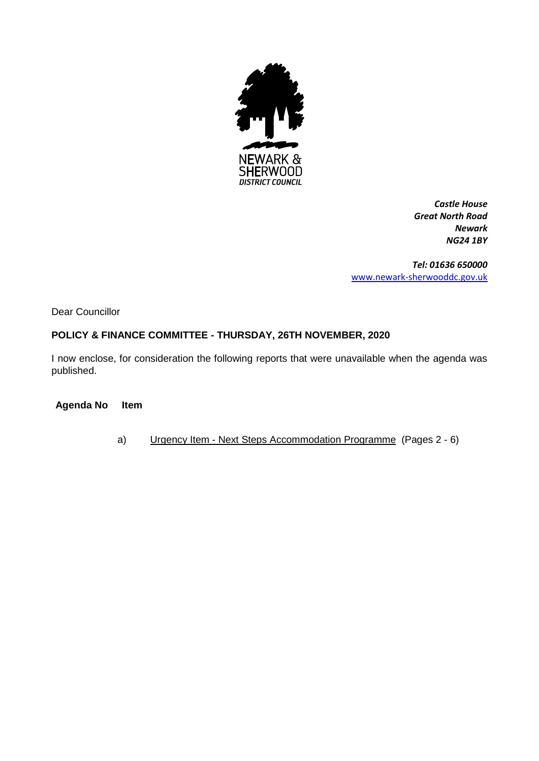

*Castle House Great North Road Newark NG24 1BY*

*Tel: 01636 650000* [www.newark-sherwooddc.gov.uk](http://www.newark-sherwooddc.gov.uk/)

Dear Councillor

# **POLICY & FINANCE COMMITTEE - THURSDAY, 26TH NOVEMBER, 2020**

I now enclose, for consideration the following reports that were unavailable when the agenda was published.

**Agenda No Item**

a) Urgency Item - Next Steps Accommodation Programme (Pages 2 - 6)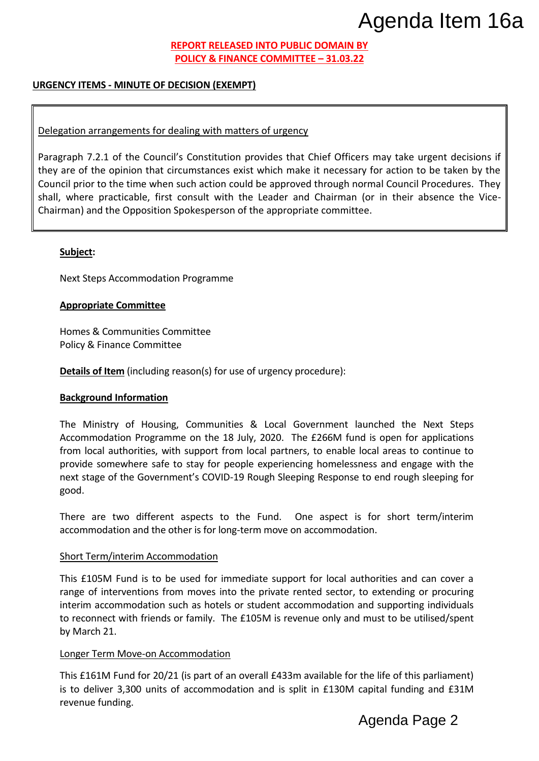## **REPORT RELEASED INTO PUBLIC DOMAIN BY POLICY & FINANCE COMMITTEE – 31.03.22**

## **URGENCY ITEMS - MINUTE OF DECISION (EXEMPT)**

## Delegation arrangements for dealing with matters of urgency

Paragraph 7.2.1 of the Council's Constitution provides that Chief Officers may take urgent decisions if they are of the opinion that circumstances exist which make it necessary for action to be taken by the Council prior to the time when such action could be approved through normal Council Procedures. They shall, where practicable, first consult with the Leader and Chairman (or in their absence the Vice-Chairman) and the Opposition Spokesperson of the appropriate committee. Agenda Page 2 Agenda Item 16a

### **Subject:**

Next Steps Accommodation Programme

### **Appropriate Committee**

Homes & Communities Committee Policy & Finance Committee

**Details of Item** (including reason(s) for use of urgency procedure):

#### **Background Information**

The Ministry of Housing, Communities & Local Government launched the Next Steps Accommodation Programme on the 18 July, 2020. The £266M fund is open for applications from local authorities, with support from local partners, to enable local areas to continue to provide somewhere safe to stay for people experiencing homelessness and engage with the next stage of the Government's COVID-19 Rough Sleeping Response to end rough sleeping for good.

There are two different aspects to the Fund. One aspect is for short term/interim accommodation and the other is for long-term move on accommodation.

#### Short Term/interim Accommodation

This £105M Fund is to be used for immediate support for local authorities and can cover a range of interventions from moves into the private rented sector, to extending or procuring interim accommodation such as hotels or student accommodation and supporting individuals to reconnect with friends or family. The £105M is revenue only and must to be utilised/spent by March 21.

### Longer Term Move-on Accommodation

This £161M Fund for 20/21 (is part of an overall £433m available for the life of this parliament) is to deliver 3,300 units of accommodation and is split in £130M capital funding and £31M revenue funding.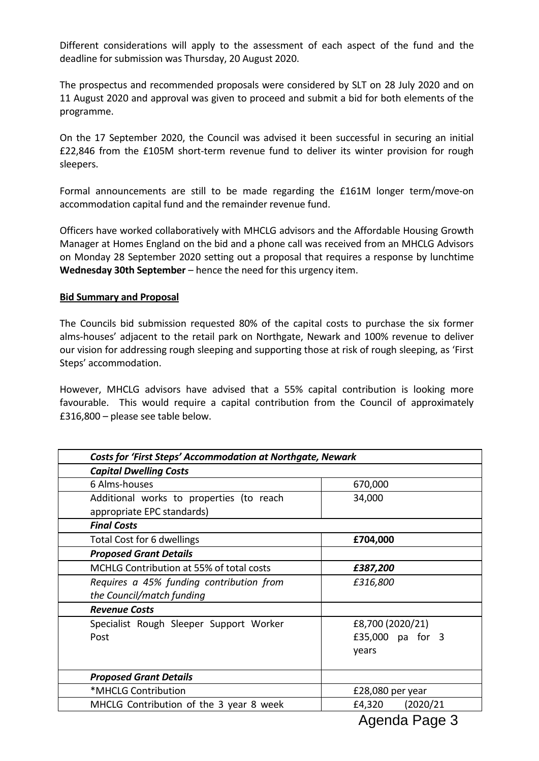Different considerations will apply to the assessment of each aspect of the fund and the deadline for submission was Thursday, 20 August 2020.

The prospectus and recommended proposals were considered by SLT on 28 July 2020 and on 11 August 2020 and approval was given to proceed and submit a bid for both elements of the programme.

On the 17 September 2020, the Council was advised it been successful in securing an initial £22,846 from the £105M short-term revenue fund to deliver its winter provision for rough sleepers.

Formal announcements are still to be made regarding the £161M longer term/move-on accommodation capital fund and the remainder revenue fund.

Officers have worked collaboratively with MHCLG advisors and the Affordable Housing Growth Manager at Homes England on the bid and a phone call was received from an MHCLG Advisors on Monday 28 September 2020 setting out a proposal that requires a response by lunchtime **Wednesday 30th September** – hence the need for this urgency item.

### **Bid Summary and Proposal**

The Councils bid submission requested 80% of the capital costs to purchase the six former alms-houses' adjacent to the retail park on Northgate, Newark and 100% revenue to deliver our vision for addressing rough sleeping and supporting those at risk of rough sleeping, as 'First Steps' accommodation.

However, MHCLG advisors have advised that a 55% capital contribution is looking more favourable. This would require a capital contribution from the Council of approximately £316,800 – please see table below.

| <b>Costs for 'First Steps' Accommodation at Northgate, Newark</b> |                     |
|-------------------------------------------------------------------|---------------------|
| <b>Capital Dwelling Costs</b>                                     |                     |
| 6 Alms-houses                                                     | 670,000             |
| Additional works to properties (to reach                          | 34,000              |
| appropriate EPC standards)                                        |                     |
| <b>Final Costs</b>                                                |                     |
| Total Cost for 6 dwellings                                        | £704,000            |
| <b>Proposed Grant Details</b>                                     |                     |
| MCHLG Contribution at 55% of total costs                          | £387,200            |
| Requires a 45% funding contribution from                          | £316,800            |
| the Council/match funding                                         |                     |
| <b>Revenue Costs</b>                                              |                     |
| Specialist Rough Sleeper Support Worker                           | £8,700 (2020/21)    |
| Post                                                              | £35,000 pa for 3    |
|                                                                   | years               |
|                                                                   |                     |
| <b>Proposed Grant Details</b>                                     |                     |
| *MHCLG Contribution                                               | £28,080 per year    |
| MHCLG Contribution of the 3 year 8 week                           | (2020/21)<br>£4,320 |
|                                                                   |                     |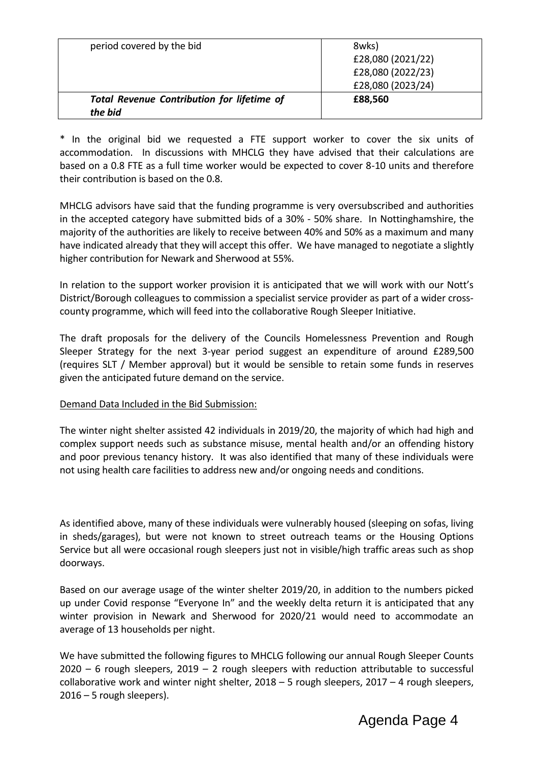| period covered by the bid                                    | 8wks)<br>£28,080 (2021/22)<br>£28,080 (2022/23)<br>£28,080 (2023/24) |
|--------------------------------------------------------------|----------------------------------------------------------------------|
| <b>Total Revenue Contribution for lifetime of</b><br>the bid | £88,560                                                              |

\* In the original bid we requested a FTE support worker to cover the six units of accommodation. In discussions with MHCLG they have advised that their calculations are based on a 0.8 FTE as a full time worker would be expected to cover 8-10 units and therefore their contribution is based on the 0.8.

MHCLG advisors have said that the funding programme is very oversubscribed and authorities in the accepted category have submitted bids of a 30% - 50% share. In Nottinghamshire, the majority of the authorities are likely to receive between 40% and 50% as a maximum and many have indicated already that they will accept this offer. We have managed to negotiate a slightly higher contribution for Newark and Sherwood at 55%.

In relation to the support worker provision it is anticipated that we will work with our Nott's District/Borough colleagues to commission a specialist service provider as part of a wider crosscounty programme, which will feed into the collaborative Rough Sleeper Initiative.

The draft proposals for the delivery of the Councils Homelessness Prevention and Rough Sleeper Strategy for the next 3-year period suggest an expenditure of around £289,500 (requires SLT / Member approval) but it would be sensible to retain some funds in reserves given the anticipated future demand on the service.

# Demand Data Included in the Bid Submission:

The winter night shelter assisted 42 individuals in 2019/20, the majority of which had high and complex support needs such as substance misuse, mental health and/or an offending history and poor previous tenancy history. It was also identified that many of these individuals were not using health care facilities to address new and/or ongoing needs and conditions.

As identified above, many of these individuals were vulnerably housed (sleeping on sofas, living in sheds/garages), but were not known to street outreach teams or the Housing Options Service but all were occasional rough sleepers just not in visible/high traffic areas such as shop doorways.

Based on our average usage of the winter shelter 2019/20, in addition to the numbers picked up under Covid response "Everyone In" and the weekly delta return it is anticipated that any winter provision in Newark and Sherwood for 2020/21 would need to accommodate an average of 13 households per night.

We have submitted the following figures to MHCLG following our annual Rough Sleeper Counts  $2020 - 6$  rough sleepers,  $2019 - 2$  rough sleepers with reduction attributable to successful collaborative work and winter night shelter,  $2018 - 5$  rough sleepers,  $2017 - 4$  rough sleepers, 2016 – 5 rough sleepers).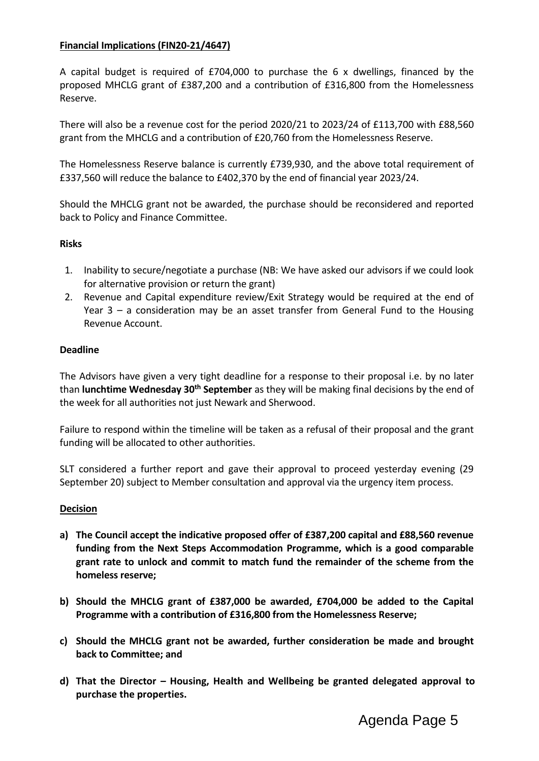# **Financial Implications (FIN20-21/4647)**

A capital budget is required of £704,000 to purchase the 6 x dwellings, financed by the proposed MHCLG grant of £387,200 and a contribution of £316,800 from the Homelessness Reserve.

There will also be a revenue cost for the period 2020/21 to 2023/24 of £113,700 with £88,560 grant from the MHCLG and a contribution of £20,760 from the Homelessness Reserve.

The Homelessness Reserve balance is currently £739,930, and the above total requirement of £337,560 will reduce the balance to £402,370 by the end of financial year 2023/24.

Should the MHCLG grant not be awarded, the purchase should be reconsidered and reported back to Policy and Finance Committee.

## **Risks**

- 1. Inability to secure/negotiate a purchase (NB: We have asked our advisors if we could look for alternative provision or return the grant)
- 2. Revenue and Capital expenditure review/Exit Strategy would be required at the end of Year 3 – a consideration may be an asset transfer from General Fund to the Housing Revenue Account.

## **Deadline**

The Advisors have given a very tight deadline for a response to their proposal i.e. by no later than **lunchtime Wednesday 30th September** as they will be making final decisions by the end of the week for all authorities not just Newark and Sherwood.

Failure to respond within the timeline will be taken as a refusal of their proposal and the grant funding will be allocated to other authorities.

SLT considered a further report and gave their approval to proceed yesterday evening (29 September 20) subject to Member consultation and approval via the urgency item process.

### **Decision**

- **a) The Council accept the indicative proposed offer of £387,200 capital and £88,560 revenue funding from the Next Steps Accommodation Programme, which is a good comparable grant rate to unlock and commit to match fund the remainder of the scheme from the homeless reserve;**
- **b) Should the MHCLG grant of £387,000 be awarded, £704,000 be added to the Capital Programme with a contribution of £316,800 from the Homelessness Reserve;**
- **c) Should the MHCLG grant not be awarded, further consideration be made and brought back to Committee; and**
- **d) That the Director – Housing, Health and Wellbeing be granted delegated approval to purchase the properties.**